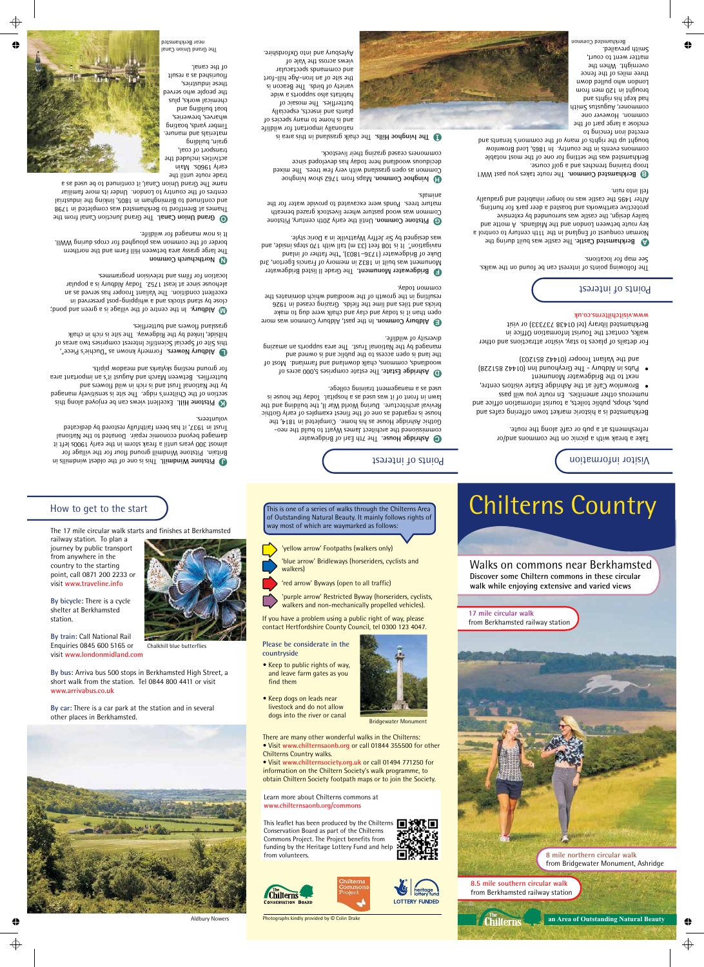### How to get to the start

#### The 17 mile circular walk starts and finishes at Berkhamsted

railway station. To plan a journey by public transport from anywhere in the country to the starting point, call 0871 200 2233 or visit **www.traveline.info**

By bicycle: There is a cycle shelter at Berkhamsted station.

**By train: Call National Rail** Enquiries 0845 600 5165 or visit **www.londonmidland.com** 

Chalkhill blue butterflies

By bus: Arriva bus 500 stops in Berkhamsted High Street, a short walk from the station. Tel 0844 800 4411 or visit **www.arrivabus.co.uk** 

By car: There is a car park at the station and in several other places in Berkhamsted.



Aldbury Nowers

This is one of a series of walks through the Chilterns Area of Outstanding Natural Beauty. It mainly follows rights of way most of which are waymarked as follows:

'yellow arrow' Footpaths (walkers only)

'blue arrow' Bridleways (horseriders, cyclists and walkers)

'red arrow' Byways (open to all traffic)

'purple arrow' Restricted Byway (horseriders, cyclists, walkers and non-mechanically propelled vehicles).

If you have a problem using a public right of way, please contact Hertfordshire County Council, tel 0300 123 4047.

**Please be considerate in the countryside**

- Keep to public rights of way, and leave farm gates as you find them
- Keep dogs on leads near livestock and do not allow dogs into the river or canal



Bridgewater Monument

There are many other wonderful walks in the Chilterns: • Visit www.chilternsaonb.org or call 01844 355500 for other Chilterns Country walks.

• Visit www.chilternsociety.org.uk or call 01494 771250 for information on the Chiltern Society's walk programme, to obtain Chiltern Society footpath maps or to join the Society.

hilterni

Learn more about Chilterns commons at **www.chilternsaonb.org/commons**

This leaflet has been produced by the Chilterns Conservation Board as part of the Chilterns Commons Project. The Project benefits from funding by the Heritage Lottery Fund and help from volunteers.



**LOTTERY FUNDED** 





# Chilterns Country

Walks on commons near Berkhamsted **Discover some Chiltern commons in these circular walk while enjoying extensive and varied views**

**17 mile circular walk** from Berkhamsted railway station



**8 mile northern circular walk**  from Bridgewater Monument, Ashridge

**an Area of Outstanding Natural Beauty**

**8.5 mile southern circular walk** from Berkhamsted railway station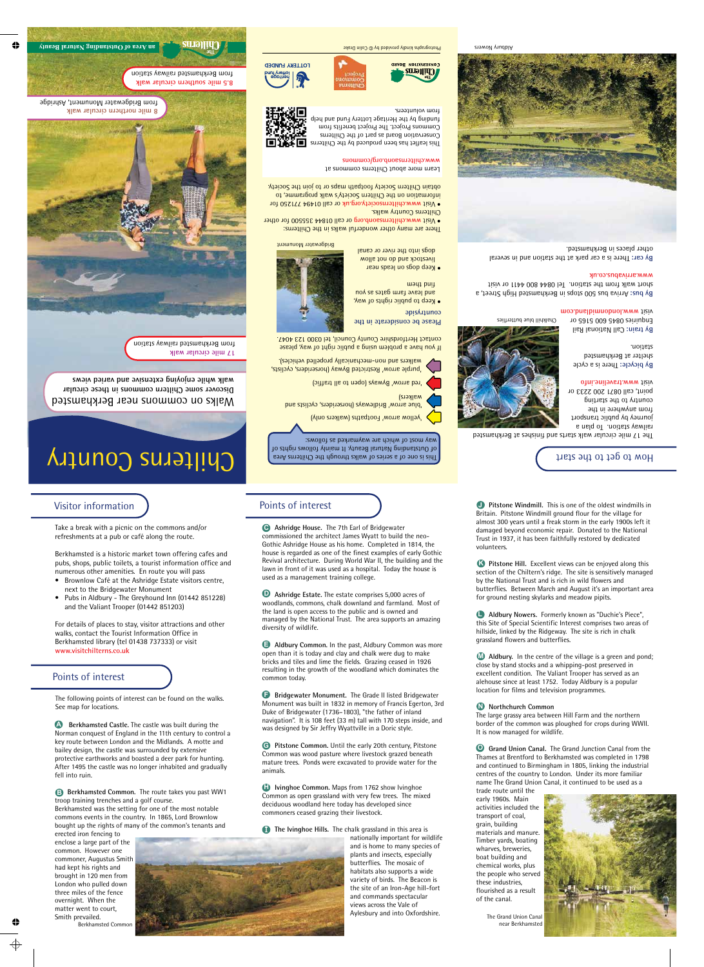#### Visitor information

Take a break with a picnic on the commons and/or refreshments at a pub or café along the route.

Berkhamsted is a historic market town offering cafes and pubs, shops, public toilets, a tourist information office and numerous other amenities. En route you will pass

- Brownlow Café at the Ashridge Estate visitors centre, next to the Bridgewater Monument
- Pubs in Aldbury The Greyhound Inn (01442 851228) and the Valiant Trooper (01442 851203)

For details of places to stay, visitor attractions and other walks, contact the Tourist Information Office in Berkhamsted library (tel 01438 737333) or visit **www.visitchilterns.co.uk**

### Points of interest

The following points of interest can be found on the walks. See map for locations.

**A** Berkhamsted Castle. The castle was built during the Norman conquest of England in the 11th century to control a key route between London and the Midlands. A motte and bailey design, the castle was surrounded by extensive protective earthworks and boasted a deer park for hunting. After 1495 the castle was no longer inhabited and gradually fell into ruin.

**B** Berkhamsted Common. The route takes you past WW1 troop training trenches and a golf course.

Berkhamsted was the setting for one of the most notable commons events in the country. In 1865, Lord Brownlow bought up the rights of many of the common's tenants and

erected iron fencing to enclose a large part of the common. However one commoner, Augustus Smith had kept his rights and brought in 120 men from London who pulled down three miles of the fence overnight. When the matter went to court, Smith prevailed. Berkhamsted Common

## Points of interest

**Ashridge House.** The 7th Earl of Bridgewater **C** commissioned the architect James Wyatt to build the neo-Gothic Ashridge House as his home. Completed in 1814, the house is regarded as one of the finest examples of early Gothic Revival architecture. During World War II, the building and the lawn in front of it was used as a hospital. Today the house is used as a management training college.

**Ashridge Estate.** The estate comprises 5,000 acres of **D** woodlands, commons, chalk downland and farmland. Most of the land is open access to the public and is owned and managed by the National Trust. The area supports an amazing diversity of wildlife.

**Aldbury Common.** In the past, Aldbury Common was more open than it is today and clay and chalk were dug to make bricks and tiles and lime the fields. Grazing ceased in 1926 resulting in the growth of the woodland which dominates the common today.

**Bridgewater Monument.** The Grade II listed Bridgewater Monument was built in 1832 in memory of Francis Egerton, 3rd Duke of Bridgewater (1736–1803), "the father of inland navigation". It is 108 feet (33 m) tall with 170 steps inside, and was designed by Sir Jeffry Wyattville in a Doric style.

**G** Pitstone Common. Until the early 20th century, Pitstone Common was wood pasture where livestock grazed beneath mature trees. Ponds were excavated to provide water for the animals.

**I** Ivinghoe Common. Maps from 1762 show Ivinghoe Common as open grassland with very few trees. The mixed deciduous woodland here today has developed since commoners ceased grazing their livestock.

**I** The Ivinghoe Hills. The chalk grassland in this area is



nationally important for wildlife and is home to many species of plants and insects, especially butterflies. The mosaic of habitats also supports a wide variety of birds. The Beacon is the site of an Iron-Age hill-fort and commands spectacular views across the Vale of Aylesbury and into Oxfordshire.

**J** Pitstone Windmill. This is one of the oldest windmills in Britain. Pitstone Windmill ground flour for the village for almost 300 years until a freak storm in the early 1900s left it damaged beyond economic repair. Donated to the National Trust in 1937, it has been faithfully restored by dedicated volunteers.

**K** Pitstone Hill. Excellent views can be enjoyed along this section of the Chiltern's ridge. The site is sensitively managed by the National Trust and is rich in wild flowers and butterflies. Between March and August it's an important area for ground nesting skylarks and meadow pipits.

**L Aldbury Nowers.** Formerly known as "Duchie's Piece", this Site of Special Scientific Interest comprises two areas of hillside, linked by the Ridgeway. The site is rich in chalk grassland flowers and butterflies.

**M** Aldbury. In the centre of the village is a green and pond; close by stand stocks and a whipping-post preserved in excellent condition. The Valiant Trooper has served as an alehouse since at least 1752. Today Aldbury is a popular location for films and television programmes.

#### **N Northchurch Common**

The large grassy area between Hill Farm and the northern border of the common was ploughed for crops during WWII. It is now managed for wildlife.

**O Grand Union Canal.** The Grand Junction Canal from the Thames at Brentford to Berkhamsted was completed in 1798 and continued to Birmingham in 1805, linking the industrial centres of the country to London. Under its more familiar name The Grand Union Canal, it continued to be used as a trade route until the

early 1960s. Main activities included the transport of coal, grain, building materials and manure. Timber yards, boating wharves, breweries, boat building and chemical works, plus the people who served these industries, flourished as a result of the canal.

> The Grand Union Canal near Berkhamsted